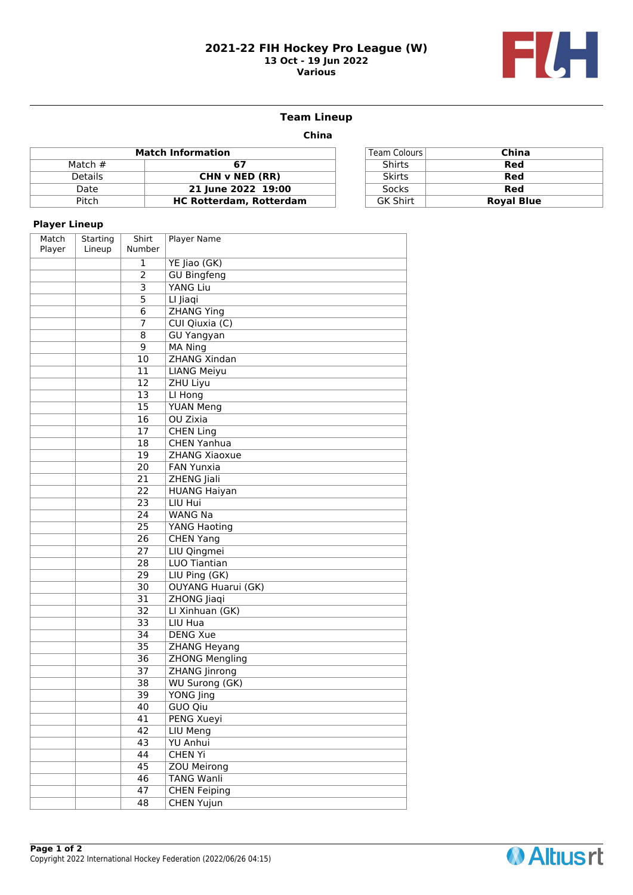#### **2021-22 FIH Hockey Pro League (W) 13 Oct - 19 Jun 2022 Various**



## **Team Lineup**

 **China**

|                | <b>Match Information</b>       | Team Colours    | China             |
|----------------|--------------------------------|-----------------|-------------------|
| Match $#$      | 67                             | Shirts          | Red               |
| <b>Details</b> | CHN v NED (RR)                 | <b>Skirts</b>   | Red               |
| Date           | 21 June 2022 19:00             | Socks           | Red               |
| Pitch          | <b>HC Rotterdam, Rotterdam</b> | <b>GK Shirt</b> | <b>Royal Blue</b> |

| <b>Team Colours</b> | China             |
|---------------------|-------------------|
| Shirts              | Red               |
| <b>Skirts</b>       | Red               |
| <b>Socks</b>        | Red               |
| <b>GK Shirt</b>     | <b>Royal Blue</b> |

## **Player Lineup**

| , nayer enneup  |                    |                 |                           |
|-----------------|--------------------|-----------------|---------------------------|
| Match<br>Player | Starting<br>Lineup | Shirt<br>Number | <b>Player Name</b>        |
|                 |                    | $\mathbf{1}$    | YE Jiao (GK)              |
|                 |                    | $\overline{2}$  | <b>GU Bingfeng</b>        |
|                 |                    | 3               | <b>YANG Liu</b>           |
|                 |                    | $\overline{5}$  | LI Jiaqi                  |
|                 |                    | 6               | <b>ZHANG Ying</b>         |
|                 |                    | 7               | CUI Qiuxia (C)            |
|                 |                    | 8               | <b>GU Yangyan</b>         |
|                 |                    | 9               | <b>MA Ning</b>            |
|                 |                    | $\overline{10}$ | <b>ZHANG Xindan</b>       |
|                 |                    | 11              | <b>LIANG Meiyu</b>        |
|                 |                    | 12              | ZHU Liyu                  |
|                 |                    | 13              | LI Hong                   |
|                 |                    | $\overline{15}$ | <b>YUAN Meng</b>          |
|                 |                    | 16              | <b>OU Zixia</b>           |
|                 |                    | 17              | <b>CHEN Ling</b>          |
|                 |                    | 18              | <b>CHEN Yanhua</b>        |
|                 |                    | 19              | <b>ZHANG Xiaoxue</b>      |
|                 |                    | 20              | <b>FAN Yunxia</b>         |
|                 |                    | 21              | ZHENG Jiali               |
|                 |                    | 22              | <b>HUANG Haiyan</b>       |
|                 |                    | 23              | LIU Hui                   |
|                 |                    | 24              | <b>WANG Na</b>            |
|                 |                    | 25              | YANG Haoting              |
|                 |                    | 26              | <b>CHEN Yang</b>          |
|                 |                    | 27              | LIU Qingmei               |
|                 |                    | 28              | LUO Tiantian              |
|                 |                    | 29              | LIU Ping (GK)             |
|                 |                    | 30              | <b>OUYANG Huarui (GK)</b> |
|                 |                    | 31              | ZHONG Jiaqi               |
|                 |                    | 32              | LI Xinhuan (GK)           |
|                 |                    | 33              | LIU Hua                   |
|                 |                    | 34              | <b>DENG Xue</b>           |
|                 |                    | $\overline{35}$ | ZHANG Heyang              |
|                 |                    | 36              | <b>ZHONG Mengling</b>     |
|                 |                    | 37              | <b>ZHANG Jinrong</b>      |
|                 |                    | 38              | <b>WU Surong (GK)</b>     |
|                 |                    | 39              | YONG Jing                 |
|                 |                    | 40              | GUO Qiu                   |
|                 |                    | 41              | <b>PENG Xueyi</b>         |
|                 |                    | $\overline{42}$ | <b>LIU Meng</b>           |
|                 |                    | 43              | <b>YU Anhui</b>           |
|                 |                    | 44              | <b>CHEN Yi</b>            |
|                 |                    | 45              | <b>ZOU Meirong</b>        |
|                 |                    | 46              | <b>TANG Wanli</b>         |
|                 |                    | 47              | <b>CHEN Feiping</b>       |
|                 |                    | 48              | <b>CHEN Yujun</b>         |